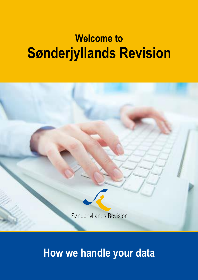# **Welcome to Sønderjyllands Revision**



**How we handle your data**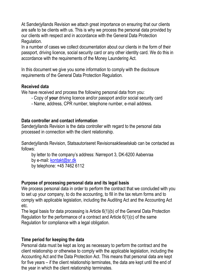At Sønderjyllands Revision we attach great importance on ensuring that our clients are safe to be clients with us. This is why we process the personal data provided by our clients with respect and in accordance with the General Data Protection Regulation.

In a number of cases we collect documentation about our clients in the form of their passport, driving licence, social security card or any other identity card. We do this in accordance with the requirements of the Money Laundering Act.

In this document we give you some information to comply with the disclosure requirements of the General Data Protection Regulation.

#### **Received data**

We have received and process the following personal data from you:

- Copy of **your** driving licence and/or passport and/or social security card
- Name, address, CPR number, telephone number, e-mail address.

#### **Data controller and contact information**

Sønderjyllands Revision is the data controller with regard to the personal data processed in connection with the client relationship.

Sønderjyllands Revision, Statsautoriseret Revisionsaktieselskab can be contacted as follows:

by letter to the company's address: Nørreport 3, DK-6200 Aabenraa by e-mail[: kontakt@sr.dk](mailto:kontakt@sr.dk)

by telephone: +45 7462 6112

#### **Purpose of processing personal data and its legal basis**

We process personal data in order to perform the contract that we concluded with you to set up your company, to do the accounting, to fill in the tax return forms and to comply with applicable legislation, including the Auditing Act and the Accounting Act etc.

The legal basis for data processing is Article 6(1)(b) of the General Data Protection Regulation for the performance of a contract and Article 6(1)(c) of the same Regulation for compliance with a legal obligation.

#### **Time period for keeping the data**

Personal data must be kept as long as necessary to perform the contract and the client relationship or otherwise to comply with the applicable legislation, including the Accounting Act and the Data Protection Act. This means that personal data are kept for five years – if the client relationship terminates, the data are kept until the end of the year in which the client relationship terminates.